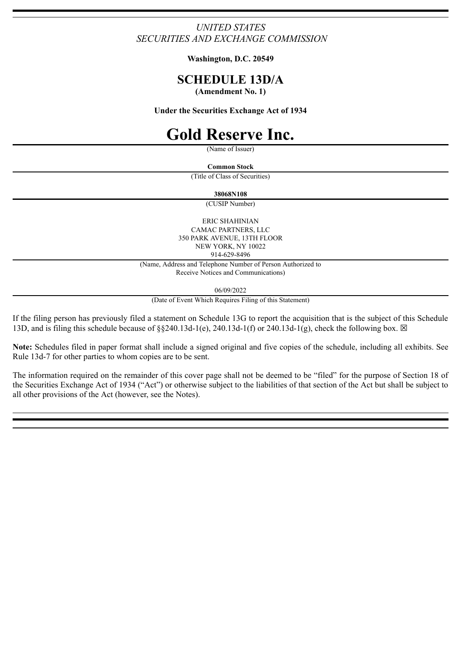## *UNITED STATES SECURITIES AND EXCHANGE COMMISSION*

**Washington, D.C. 20549**

# **SCHEDULE 13D/A**

**(Amendment No. 1)**

**Under the Securities Exchange Act of 1934**

# **Gold Reserve Inc.**

(Name of Issuer)

**Common Stock**

(Title of Class of Securities)

**38068N108**

(CUSIP Number)

ERIC SHAHINIAN CAMAC PARTNERS, LLC 350 PARK AVENUE, 13TH FLOOR NEW YORK, NY 10022 914-629-8496

(Name, Address and Telephone Number of Person Authorized to Receive Notices and Communications)

06/09/2022

(Date of Event Which Requires Filing of this Statement)

If the filing person has previously filed a statement on Schedule 13G to report the acquisition that is the subject of this Schedule 13D, and is filing this schedule because of  $\S$ §240.13d-1(e), 240.13d-1(f) or 240.13d-1(g), check the following box.  $\boxtimes$ 

**Note:** Schedules filed in paper format shall include a signed original and five copies of the schedule, including all exhibits. See Rule 13d-7 for other parties to whom copies are to be sent.

The information required on the remainder of this cover page shall not be deemed to be "filed" for the purpose of Section 18 of the Securities Exchange Act of 1934 ("Act") or otherwise subject to the liabilities of that section of the Act but shall be subject to all other provisions of the Act (however, see the Notes).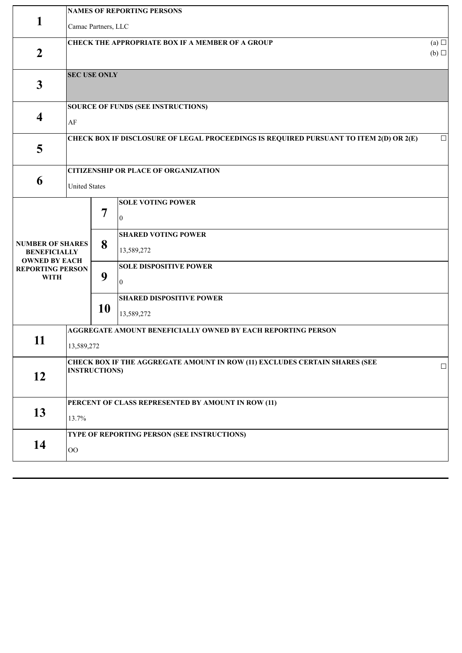|                                                                | <b>NAMES OF REPORTING PERSONS</b>                                                                         |    |                                                                        |        |  |  |
|----------------------------------------------------------------|-----------------------------------------------------------------------------------------------------------|----|------------------------------------------------------------------------|--------|--|--|
| 1                                                              | Camac Partners, LLC                                                                                       |    |                                                                        |        |  |  |
| $\overline{2}$                                                 | <b>CHECK THE APPROPRIATE BOX IF A MEMBER OF A GROUP</b><br>(a)<br>$(b)$ $\square$                         |    |                                                                        |        |  |  |
| $\mathbf{3}$                                                   | <b>SEC USE ONLY</b>                                                                                       |    |                                                                        |        |  |  |
| $\overline{\mathbf{4}}$                                        | <b>SOURCE OF FUNDS (SEE INSTRUCTIONS)</b><br>AF                                                           |    |                                                                        |        |  |  |
| 5                                                              | CHECK BOX IF DISCLOSURE OF LEGAL PROCEEDINGS IS REQUIRED PURSUANT TO ITEM 2(D) OR 2(E)<br>$\Box$          |    |                                                                        |        |  |  |
|                                                                |                                                                                                           |    | <b>CITIZENSHIP OR PLACE OF ORGANIZATION</b>                            |        |  |  |
| 6                                                              | <b>United States</b>                                                                                      |    |                                                                        |        |  |  |
|                                                                |                                                                                                           | 7  | <b>SOLE VOTING POWER</b><br>$\mathbf{0}$<br><b>SHARED VOTING POWER</b> |        |  |  |
| <b>NUMBER OF SHARES</b><br><b>BENEFICIALLY</b>                 |                                                                                                           | 8  | 13,589,272                                                             |        |  |  |
| <b>OWNED BY EACH</b><br><b>REPORTING PERSON</b><br><b>WITH</b> |                                                                                                           | 9  | <b>SOLE DISPOSITIVE POWER</b><br>$\boldsymbol{0}$                      |        |  |  |
|                                                                |                                                                                                           | 10 | <b>SHARED DISPOSITIVE POWER</b><br>13,589,272                          |        |  |  |
| 11                                                             | <b>AGGREGATE AMOUNT BENEFICIALLY OWNED BY EACH REPORTING PERSON</b>                                       |    |                                                                        |        |  |  |
|                                                                | 13,589,272                                                                                                |    |                                                                        |        |  |  |
| 12                                                             | <b>CHECK BOX IF THE AGGREGATE AMOUNT IN ROW (11) EXCLUDES CERTAIN SHARES (SEE</b><br><b>INSTRUCTIONS)</b> |    |                                                                        | $\Box$ |  |  |
|                                                                | PERCENT OF CLASS REPRESENTED BY AMOUNT IN ROW (11)                                                        |    |                                                                        |        |  |  |
| 13                                                             | 13.7%                                                                                                     |    |                                                                        |        |  |  |
| 14                                                             | TYPE OF REPORTING PERSON (SEE INSTRUCTIONS)<br>$00\,$                                                     |    |                                                                        |        |  |  |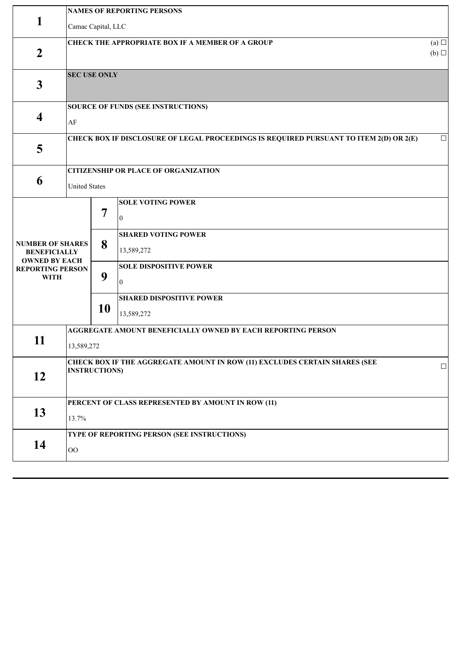|                                                                                                                  | <b>NAMES OF REPORTING PERSONS</b>                                                                                   |                   |                                                                                                                                                                                        |  |  |  |
|------------------------------------------------------------------------------------------------------------------|---------------------------------------------------------------------------------------------------------------------|-------------------|----------------------------------------------------------------------------------------------------------------------------------------------------------------------------------------|--|--|--|
| 1                                                                                                                | Camac Capital, LLC                                                                                                  |                   |                                                                                                                                                                                        |  |  |  |
| $\overline{2}$                                                                                                   | <b>CHECK THE APPROPRIATE BOX IF A MEMBER OF A GROUP</b><br>(a)<br>$(b)$ $\square$                                   |                   |                                                                                                                                                                                        |  |  |  |
| $\mathbf{3}$                                                                                                     | <b>SEC USE ONLY</b>                                                                                                 |                   |                                                                                                                                                                                        |  |  |  |
| $\overline{\mathbf{4}}$                                                                                          | <b>SOURCE OF FUNDS (SEE INSTRUCTIONS)</b><br>$\rm AF$                                                               |                   |                                                                                                                                                                                        |  |  |  |
| 5                                                                                                                | CHECK BOX IF DISCLOSURE OF LEGAL PROCEEDINGS IS REQUIRED PURSUANT TO ITEM 2(D) OR 2(E)<br>$\Box$                    |                   |                                                                                                                                                                                        |  |  |  |
| 6                                                                                                                | <b>CITIZENSHIP OR PLACE OF ORGANIZATION</b><br><b>United States</b>                                                 |                   |                                                                                                                                                                                        |  |  |  |
| <b>NUMBER OF SHARES</b><br><b>BENEFICIALLY</b><br><b>OWNED BY EACH</b><br><b>REPORTING PERSON</b><br><b>WITH</b> |                                                                                                                     | 7<br>8<br>9<br>10 | <b>SOLE VOTING POWER</b><br>$\mathbf{0}$<br><b>SHARED VOTING POWER</b><br>13,589,272<br><b>SOLE DISPOSITIVE POWER</b><br>$\mathbf{0}$<br><b>SHARED DISPOSITIVE POWER</b><br>13,589,272 |  |  |  |
| 11                                                                                                               | AGGREGATE AMOUNT BENEFICIALLY OWNED BY EACH REPORTING PERSON<br>13,589,272                                          |                   |                                                                                                                                                                                        |  |  |  |
| 12                                                                                                               | <b>CHECK BOX IF THE AGGREGATE AMOUNT IN ROW (11) EXCLUDES CERTAIN SHARES (SEE</b><br>$\Box$<br><b>INSTRUCTIONS)</b> |                   |                                                                                                                                                                                        |  |  |  |
| 13                                                                                                               | PERCENT OF CLASS REPRESENTED BY AMOUNT IN ROW (11)<br>13.7%                                                         |                   |                                                                                                                                                                                        |  |  |  |
| 14                                                                                                               | TYPE OF REPORTING PERSON (SEE INSTRUCTIONS)<br>$\rm OO$                                                             |                   |                                                                                                                                                                                        |  |  |  |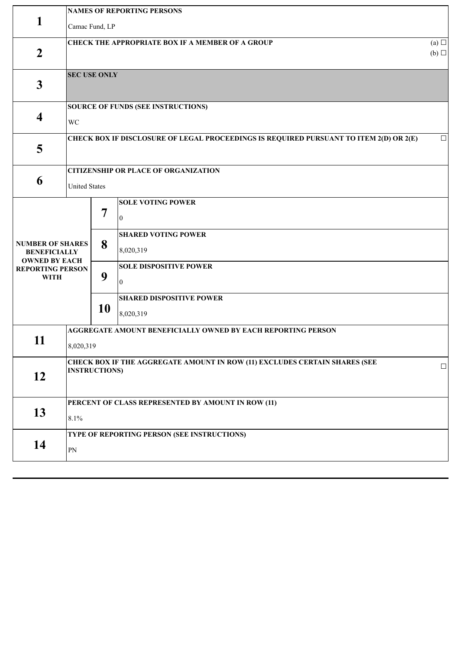|                                                                | <b>NAMES OF REPORTING PERSONS</b>                                                                  |                                                              |                                              |        |  |  |
|----------------------------------------------------------------|----------------------------------------------------------------------------------------------------|--------------------------------------------------------------|----------------------------------------------|--------|--|--|
| 1                                                              | Camac Fund, LP                                                                                     |                                                              |                                              |        |  |  |
| $\boldsymbol{2}$                                               | <b>CHECK THE APPROPRIATE BOX IF A MEMBER OF A GROUP</b><br>(a)<br>$(b)$ $\square$                  |                                                              |                                              |        |  |  |
| $\mathbf{3}$                                                   | <b>SEC USE ONLY</b>                                                                                |                                                              |                                              |        |  |  |
| $\overline{\mathbf{4}}$                                        | SOURCE OF FUNDS (SEE INSTRUCTIONS)<br>WC                                                           |                                                              |                                              |        |  |  |
| 5                                                              | CHECK BOX IF DISCLOSURE OF LEGAL PROCEEDINGS IS REQUIRED PURSUANT TO ITEM 2(D) OR 2(E)<br>$\Box$   |                                                              |                                              |        |  |  |
| 6                                                              | <b>CITIZENSHIP OR PLACE OF ORGANIZATION</b>                                                        |                                                              |                                              |        |  |  |
|                                                                | <b>United States</b>                                                                               |                                                              |                                              |        |  |  |
| <b>NUMBER OF SHARES</b><br><b>BENEFICIALLY</b>                 |                                                                                                    | $\overline{7}$                                               | <b>SOLE VOTING POWER</b><br>$\overline{0}$   |        |  |  |
|                                                                |                                                                                                    | 8                                                            | <b>SHARED VOTING POWER</b><br>8,020,319      |        |  |  |
| <b>OWNED BY EACH</b><br><b>REPORTING PERSON</b><br><b>WITH</b> | 9                                                                                                  |                                                              | <b>SOLE DISPOSITIVE POWER</b><br>10          |        |  |  |
|                                                                |                                                                                                    | 10                                                           | <b>SHARED DISPOSITIVE POWER</b><br>8,020,319 |        |  |  |
| 11                                                             |                                                                                                    | AGGREGATE AMOUNT BENEFICIALLY OWNED BY EACH REPORTING PERSON |                                              |        |  |  |
|                                                                | 8,020,319                                                                                          |                                                              |                                              |        |  |  |
| 12                                                             | CHECK BOX IF THE AGGREGATE AMOUNT IN ROW (11) EXCLUDES CERTAIN SHARES (SEE<br><b>INSTRUCTIONS)</b> |                                                              |                                              | $\Box$ |  |  |
| 13                                                             | PERCENT OF CLASS REPRESENTED BY AMOUNT IN ROW (11)<br>8.1%                                         |                                                              |                                              |        |  |  |
| 14                                                             | TYPE OF REPORTING PERSON (SEE INSTRUCTIONS)<br>${\rm PN}$                                          |                                                              |                                              |        |  |  |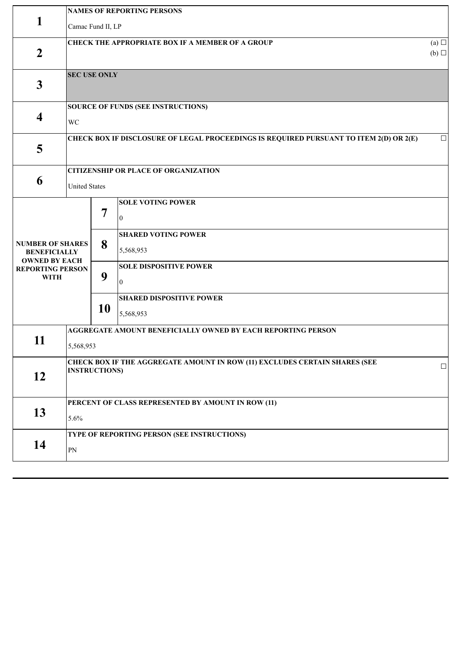|                                                                                                                  | <b>NAMES OF REPORTING PERSONS</b>                                                                         |                   |                                                                                                                                                                                            |        |  |  |
|------------------------------------------------------------------------------------------------------------------|-----------------------------------------------------------------------------------------------------------|-------------------|--------------------------------------------------------------------------------------------------------------------------------------------------------------------------------------------|--------|--|--|
| 1                                                                                                                | Camac Fund II, LP                                                                                         |                   |                                                                                                                                                                                            |        |  |  |
| $\overline{2}$                                                                                                   | <b>CHECK THE APPROPRIATE BOX IF A MEMBER OF A GROUP</b><br>(a) $\Box$<br>$(b)$ $\square$                  |                   |                                                                                                                                                                                            |        |  |  |
| $\mathbf{3}$                                                                                                     | <b>SEC USE ONLY</b>                                                                                       |                   |                                                                                                                                                                                            |        |  |  |
| $\overline{\mathbf{4}}$                                                                                          | <b>SOURCE OF FUNDS (SEE INSTRUCTIONS)</b><br>WC                                                           |                   |                                                                                                                                                                                            |        |  |  |
| 5                                                                                                                | CHECK BOX IF DISCLOSURE OF LEGAL PROCEEDINGS IS REQUIRED PURSUANT TO ITEM 2(D) OR 2(E)<br>$\Box$          |                   |                                                                                                                                                                                            |        |  |  |
| 6                                                                                                                | <b>CITIZENSHIP OR PLACE OF ORGANIZATION</b><br><b>United States</b>                                       |                   |                                                                                                                                                                                            |        |  |  |
| <b>NUMBER OF SHARES</b><br><b>BENEFICIALLY</b><br><b>OWNED BY EACH</b><br><b>REPORTING PERSON</b><br><b>WITH</b> |                                                                                                           | 7<br>8<br>9<br>10 | <b>SOLE VOTING POWER</b><br>$\boldsymbol{0}$<br><b>SHARED VOTING POWER</b><br>5,568,953<br><b>SOLE DISPOSITIVE POWER</b><br>$\overline{0}$<br><b>SHARED DISPOSITIVE POWER</b><br>5,568,953 |        |  |  |
| 11                                                                                                               | <b>AGGREGATE AMOUNT BENEFICIALLY OWNED BY EACH REPORTING PERSON</b><br>5,568,953                          |                   |                                                                                                                                                                                            |        |  |  |
| 12                                                                                                               | <b>CHECK BOX IF THE AGGREGATE AMOUNT IN ROW (11) EXCLUDES CERTAIN SHARES (SEE</b><br><b>INSTRUCTIONS)</b> |                   |                                                                                                                                                                                            | $\Box$ |  |  |
| 13                                                                                                               | PERCENT OF CLASS REPRESENTED BY AMOUNT IN ROW (11)<br>5.6%                                                |                   |                                                                                                                                                                                            |        |  |  |
| 14                                                                                                               | TYPE OF REPORTING PERSON (SEE INSTRUCTIONS)<br>PN                                                         |                   |                                                                                                                                                                                            |        |  |  |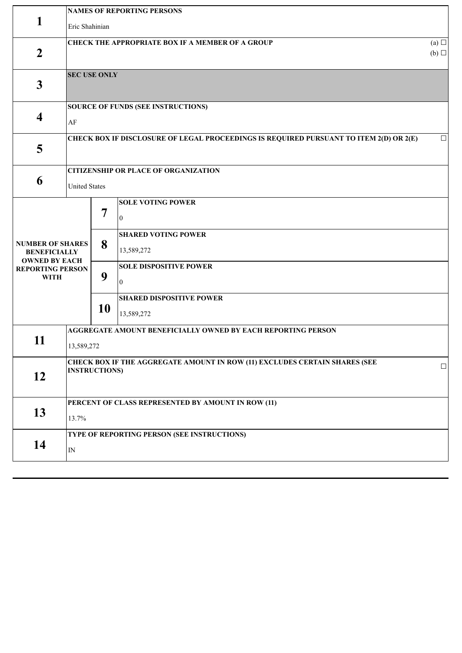|                                                                                                                  | <b>NAMES OF REPORTING PERSONS</b>                                                                            |                   |                                                                                                                                                                                          |  |  |  |
|------------------------------------------------------------------------------------------------------------------|--------------------------------------------------------------------------------------------------------------|-------------------|------------------------------------------------------------------------------------------------------------------------------------------------------------------------------------------|--|--|--|
| 1                                                                                                                | Eric Shahinian                                                                                               |                   |                                                                                                                                                                                          |  |  |  |
| $\overline{2}$                                                                                                   | <b>CHECK THE APPROPRIATE BOX IF A MEMBER OF A GROUP</b><br>(a)<br>$(b)$ $\square$                            |                   |                                                                                                                                                                                          |  |  |  |
| $\mathbf{3}$                                                                                                     | <b>SEC USE ONLY</b>                                                                                          |                   |                                                                                                                                                                                          |  |  |  |
| $\overline{\mathbf{4}}$                                                                                          | <b>SOURCE OF FUNDS (SEE INSTRUCTIONS)</b><br>AF                                                              |                   |                                                                                                                                                                                          |  |  |  |
| 5                                                                                                                | CHECK BOX IF DISCLOSURE OF LEGAL PROCEEDINGS IS REQUIRED PURSUANT TO ITEM 2(D) OR 2(E)<br>$\Box$             |                   |                                                                                                                                                                                          |  |  |  |
|                                                                                                                  |                                                                                                              |                   | <b>CITIZENSHIP OR PLACE OF ORGANIZATION</b>                                                                                                                                              |  |  |  |
| 6                                                                                                                | <b>United States</b>                                                                                         |                   |                                                                                                                                                                                          |  |  |  |
| <b>NUMBER OF SHARES</b><br><b>BENEFICIALLY</b><br><b>OWNED BY EACH</b><br><b>REPORTING PERSON</b><br><b>WITH</b> |                                                                                                              | 7<br>8<br>9<br>10 | <b>SOLE VOTING POWER</b><br>$\mathbf{0}$<br><b>SHARED VOTING POWER</b><br>13,589,272<br><b>SOLE DISPOSITIVE POWER</b><br>$\overline{0}$<br><b>SHARED DISPOSITIVE POWER</b><br>13,589,272 |  |  |  |
| 11                                                                                                               | <b>AGGREGATE AMOUNT BENEFICIALLY OWNED BY EACH REPORTING PERSON</b><br>13,589,272                            |                   |                                                                                                                                                                                          |  |  |  |
| 12                                                                                                               | CHECK BOX IF THE AGGREGATE AMOUNT IN ROW (11) EXCLUDES CERTAIN SHARES (SEE<br>$\Box$<br><b>INSTRUCTIONS)</b> |                   |                                                                                                                                                                                          |  |  |  |
| 13                                                                                                               | PERCENT OF CLASS REPRESENTED BY AMOUNT IN ROW (11)<br>13.7%                                                  |                   |                                                                                                                                                                                          |  |  |  |
| 14                                                                                                               | TYPE OF REPORTING PERSON (SEE INSTRUCTIONS)<br>$\ensuremath{\text{IN}}$                                      |                   |                                                                                                                                                                                          |  |  |  |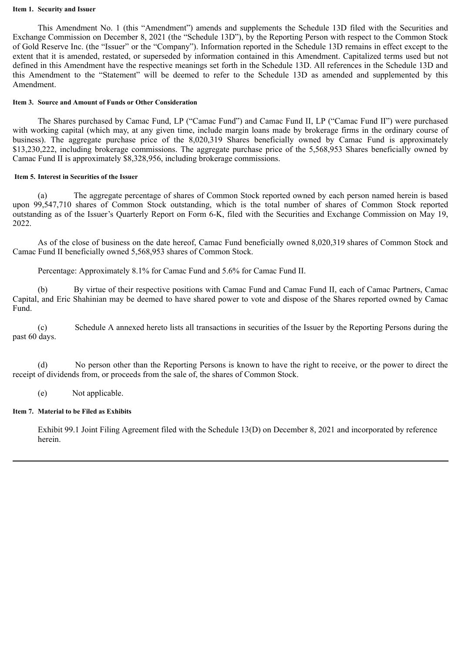#### **Item 1. Security and Issuer**

This Amendment No. 1 (this "Amendment") amends and supplements the Schedule 13D filed with the Securities and Exchange Commission on December 8, 2021 (the "Schedule 13D"), by the Reporting Person with respect to the Common Stock of Gold Reserve Inc. (the "Issuer" or the "Company"). Information reported in the Schedule 13D remains in effect except to the extent that it is amended, restated, or superseded by information contained in this Amendment. Capitalized terms used but not defined in this Amendment have the respective meanings set forth in the Schedule 13D. All references in the Schedule 13D and this Amendment to the "Statement" will be deemed to refer to the Schedule 13D as amended and supplemented by this Amendment.

#### **Item 3. Source and Amount of Funds or Other Consideration**

The Shares purchased by Camac Fund, LP ("Camac Fund") and Camac Fund II, LP ("Camac Fund II") were purchased with working capital (which may, at any given time, include margin loans made by brokerage firms in the ordinary course of business). The aggregate purchase price of the 8,020,319 Shares beneficially owned by Camac Fund is approximately \$13,230,222, including brokerage commissions. The aggregate purchase price of the 5,568,953 Shares beneficially owned by Camac Fund II is approximately \$8,328,956, including brokerage commissions.

## **Item 5. Interest in Securities of the Issuer**

(a) The aggregate percentage of shares of Common Stock reported owned by each person named herein is based upon 99,547,710 shares of Common Stock outstanding, which is the total number of shares of Common Stock reported outstanding as of the Issuer's Quarterly Report on Form 6-K, filed with the Securities and Exchange Commission on May 19, 2022.

As of the close of business on the date hereof, Camac Fund beneficially owned 8,020,319 shares of Common Stock and Camac Fund II beneficially owned 5,568,953 shares of Common Stock.

Percentage: Approximately 8.1% for Camac Fund and 5.6% for Camac Fund II.

(b) By virtue of their respective positions with Camac Fund and Camac Fund II, each of Camac Partners, Camac Capital, and Eric Shahinian may be deemed to have shared power to vote and dispose of the Shares reported owned by Camac Fund.

(c) Schedule A annexed hereto lists all transactions in securities of the Issuer by the Reporting Persons during the past 60 days.

(d) No person other than the Reporting Persons is known to have the right to receive, or the power to direct the receipt of dividends from, or proceeds from the sale of, the shares of Common Stock.

(e) Not applicable.

## **Item 7. Material to be Filed as Exhibits**

Exhibit 99.1 Joint Filing Agreement filed with the Schedule 13(D) on December 8, 2021 and incorporated by reference herein.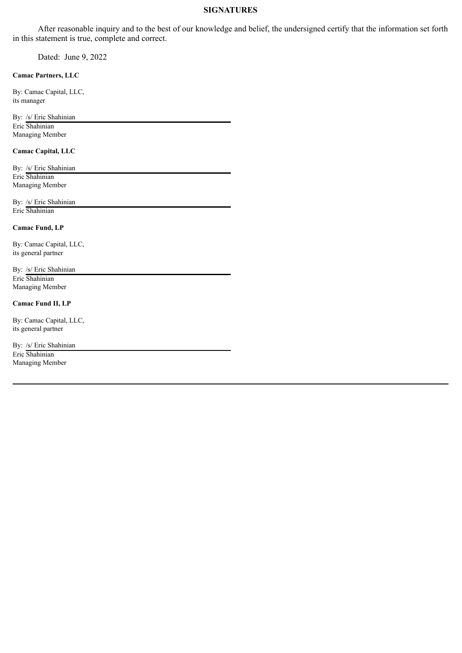## **SIGNATURES**

After reasonable inquiry and to the best of our knowledge and belief, the undersigned certify that the information set forth in this statement is true, complete and correct.

Dated: June 9, 2022

#### **Camac Partners, LLC**

By: Camac Capital, LLC, its manager

By: /s/ Eric Shahinian Eric Shahinian Managing Member

#### **Camac Capital, LLC**

By: /s/ Eric Shahinian Eric Shahinian Managing Member

By: /s/ Eric Shahinian Eric Shahinian

#### **Camac Fund, LP**

By: Camac Capital, LLC, its general partner

By: /s/ Eric Shahinian Eric Shahinian Managing Member

## **Camac Fund II, LP**

By: Camac Capital, LLC, its general partner

By: /s/ Eric Shahinian Eric Shahinian Managing Member